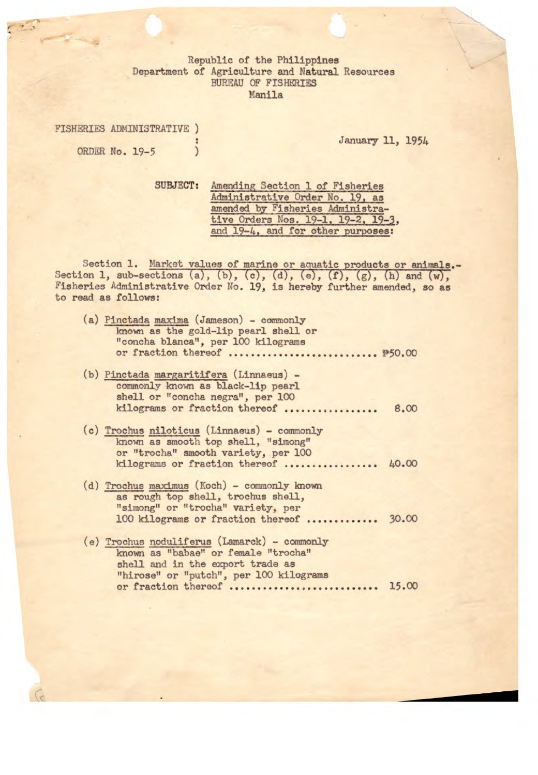Republic of the Philippines Department of Agriculture and Natural Resources *BUREAU OF* FISHERIES *Manila* 

FISHERIES ADMINISTRATIVE ) ORDER No. 19-5 )

January 11, 1954

SUBJECT: Amending Section 1 of Fisheries Administrative Order No. 19, as amended by Fisheries Administrative Orders Nos. 19-1, 19-2, 19-3, and 19-4, and for other purposes:

Section 1. Market values of marine or aquatic products or animals.- Section 1, sub-sections (a), (b), (c), (d), (e), (f), (g), (h) and  $(w)$ , Fisheries Administrative Order No. 19, is hereby further amended, so as to read as follows:

| (a) Pinctada maxima (Jameson) - commonly<br>known as the gold-lip pearl shell or<br>"concha blanca", per 100 kilograms |  |
|------------------------------------------------------------------------------------------------------------------------|--|
|                                                                                                                        |  |
|                                                                                                                        |  |

- (b) Pinctada margaritifera (Linnaeus) commonly known as black-lip pearl shell or "concha negra", per 100 kilograms or fraction thereof ................. 8.00
- (c) Trochus niloticus (Linnaeus) commonly known as smooth top shell, "simong" or "trocha" smooth variety, per 100 kilograms or fraction thereof ................ 40.00
- (d) Trochus maximus (Koch) commonly known as rough top shell, trochus shell, "simong" or "trocha" variety, per 100 kilograms or fraction thereof ............. 30.00
- (e) Trochus noduliferus (Lamarck) commonly known as "babae" or female "trocha" shell and in the export trade as "hirose" or "putch", per 100 kilograms or fraction thereof ........................... 15.00